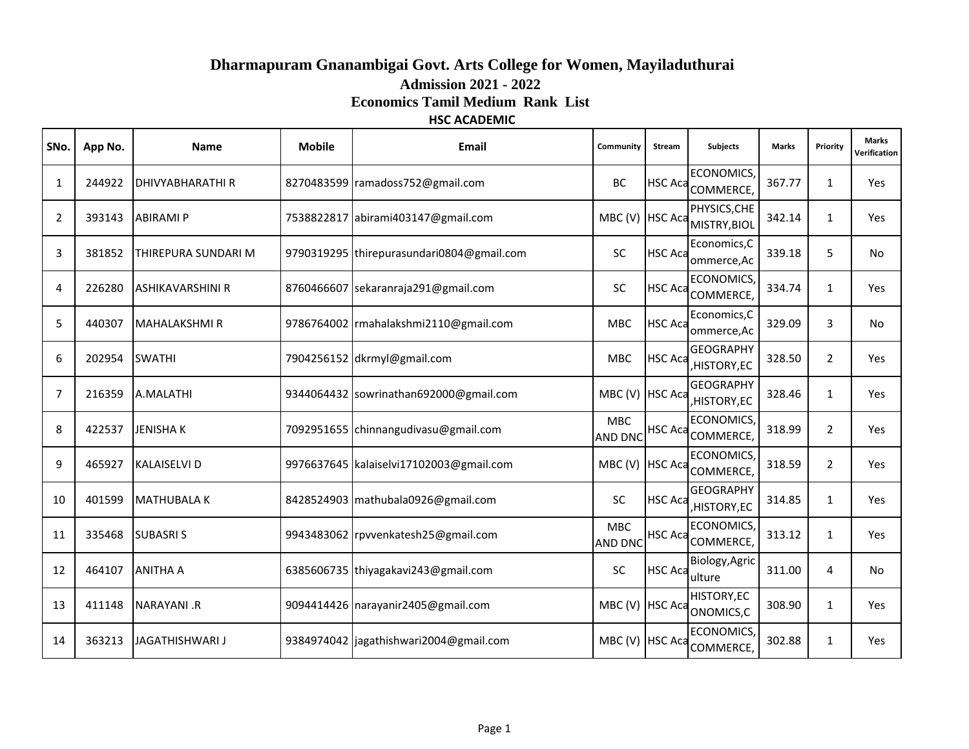#### **HSC ACADEMIC Dharmapuram Gnanambigai Govt. Arts College for Women, Mayiladuthurai Admission 2021 - 2022 Economics Tamil Medium Rank List**

| SNo.           | App No. | <b>Name</b>                | <b>Mobile</b> | Email                                     | Community                    | <b>Stream</b>  | <b>Subjects</b>                     | <b>Marks</b> | Priority       | <b>Marks</b><br>Verification |
|----------------|---------|----------------------------|---------------|-------------------------------------------|------------------------------|----------------|-------------------------------------|--------------|----------------|------------------------------|
| 1              | 244922  | <b>IDHIVYABHARATHI R</b>   |               | 8270483599 ramadoss752@gmail.com          | BC                           | <b>HSC Aca</b> | <b>ECONOMICS</b><br>COMMERCE,       | 367.77       | $\mathbf{1}$   | Yes                          |
| 2              | 393143  | <b>ABIRAMI P</b>           |               | 7538822817 abirami403147@gmail.com        | MBC(V)                       | <b>HSC Aca</b> | PHYSICS, CHE<br>MISTRY, BIOL        | 342.14       | $\mathbf{1}$   | Yes                          |
| 3              | 381852  | <b>THIREPURA SUNDARI M</b> |               | 9790319295 thirepurasundari0804@gmail.com | <b>SC</b>                    | <b>HSC Aca</b> | Economics, C<br>ommerce, Ac         | 339.18       | 5              | No                           |
| 4              | 226280  | <b>ASHIKAVARSHINI R</b>    |               | 8760466607 sekaranraja291@gmail.com       | <b>SC</b>                    | <b>HSC Aca</b> | <b>ECONOMICS</b><br>COMMERCE,       | 334.74       | $\mathbf{1}$   | Yes                          |
| 5              | 440307  | MAHALAKSHMI R              |               | 9786764002 mahalakshmi2110@gmail.com      | <b>MBC</b>                   | <b>HSC Aca</b> | Economics, C<br>ommerce, Ac         | 329.09       | 3              | <b>No</b>                    |
| 6              | 202954  | <b>SWATHI</b>              |               | 7904256152 dkrmyl@gmail.com               | <b>MBC</b>                   | <b>HSC Aca</b> | <b>GEOGRAPHY</b><br>HISTORY, EC     | 328.50       | $\overline{2}$ | Yes                          |
| $\overline{7}$ | 216359  | A.MALATHI                  |               | 9344064432 sowrinathan692000@gmail.com    | MBC(V)                       | <b>HSC</b> Aca | <b>GEOGRAPHY</b><br>,HISTORY,EC     | 328.46       | $\mathbf{1}$   | Yes                          |
| 8              | 422537  | <b>JENISHAK</b>            |               | 7092951655 chinnangudivasu@gmail.com      | <b>MBC</b><br><b>AND DNC</b> | <b>HSC Aca</b> | <b>ECONOMICS</b><br>COMMERCE,       | 318.99       | $\overline{2}$ | Yes                          |
| 9              | 465927  | <b>KALAISELVI D</b>        |               | 9976637645 kalaiselvi17102003@gmail.com   | MBC(V)                       | <b>HSC Aca</b> | <b>ECONOMICS</b><br>COMMERCE,       | 318.59       | $\overline{2}$ | Yes                          |
| 10             | 401599  | <b>MATHUBALA K</b>         |               | 8428524903 mathubala0926@gmail.com        | <b>SC</b>                    | <b>HSC Aca</b> | <b>GEOGRAPHY</b><br>HISTORY, EC     | 314.85       | $\mathbf{1}$   | Yes                          |
| 11             | 335468  | <b>SUBASRIS</b>            |               | 9943483062 rpvvenkatesh25@gmail.com       | <b>MBC</b><br>AND DNC        | <b>HSC Aca</b> | <b>ECONOMICS</b><br>COMMERCE,       | 313.12       | $\mathbf{1}$   | Yes                          |
| 12             | 464107  | <b>ANITHA A</b>            |               | 6385606735 thiyagakavi243@gmail.com       | SC                           | <b>HSC Aca</b> | Biology, Agric<br>ulture            | 311.00       | 4              | No                           |
| 13             | 411148  | <b>NARAYANI.R</b>          |               | 9094414426 narayanir2405@gmail.com        | MBC (V) HSC Aca              |                | <b>HISTORY,EC</b><br>ONOMICS, C     | 308.90       | $\mathbf{1}$   | Yes                          |
| 14             | 363213  | JAGATHISHWARI J            |               | 9384974042 jagathishwari2004@gmail.com    | MBC (V) HSC Aca              |                | <b>ECONOMICS</b><br><b>COMMERCE</b> | 302.88       | $\mathbf{1}$   | Yes                          |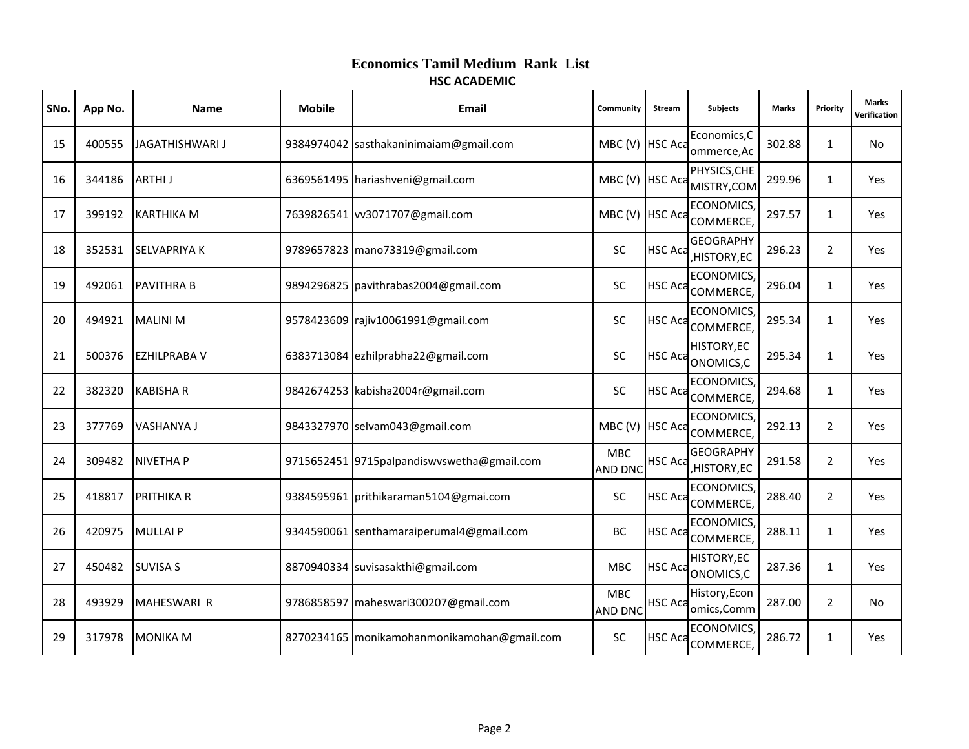| SNo. | App No. | <b>Name</b>         | <b>Mobile</b> | Email                                         | Community             | Stream         | <b>Subjects</b>                 | <b>Marks</b> | Priority       | <b>Marks</b><br>Verification |
|------|---------|---------------------|---------------|-----------------------------------------------|-----------------------|----------------|---------------------------------|--------------|----------------|------------------------------|
| 15   | 400555  | JAGATHISHWARI J     |               | 9384974042 sasthakaninimaiam@gmail.com        | MBC (V) HSC Aca       |                | Economics, C<br>ommerce, Ac     | 302.88       | $\mathbf{1}$   | No.                          |
| 16   | 344186  | <b>ARTHIJ</b>       |               | 6369561495 hariashveni@gmail.com              | MBC (V) HSC Aca       |                | PHYSICS, CHE<br>MISTRY, COM     | 299.96       | $\mathbf{1}$   | Yes                          |
| 17   | 399192  | <b>KARTHIKA M</b>   |               | 7639826541 vv3071707@gmail.com                | MBC (V) HSC Aca       |                | <b>ECONOMICS</b><br>COMMERCE,   | 297.57       | $\mathbf{1}$   | Yes                          |
| 18   | 352531  | <b>SELVAPRIYA K</b> |               | 9789657823 mano73319@gmail.com                | SC                    | <b>HSC Aca</b> | <b>GEOGRAPHY</b><br>,HISTORY,EC | 296.23       | $\overline{2}$ | Yes                          |
| 19   | 492061  | <b>PAVITHRA B</b>   |               | 9894296825 pavithrabas2004@gmail.com          | <b>SC</b>             | <b>HSC Aca</b> | <b>ECONOMICS</b><br>COMMERCE,   | 296.04       | 1              | Yes                          |
| 20   | 494921  | <b>MALINI M</b>     |               | 9578423609 rajiv10061991@gmail.com            | SC                    | <b>HSC Aca</b> | <b>ECONOMICS</b><br>COMMERCE,   | 295.34       | $\mathbf{1}$   | Yes                          |
| 21   | 500376  | <b>EZHILPRABA V</b> |               | 6383713084 ezhilprabha22@gmail.com            | SC                    | <b>HSC Aca</b> | HISTORY, EC<br>ONOMICS,C        | 295.34       | 1              | Yes                          |
| 22   | 382320  | <b>KABISHA R</b>    |               | 9842674253 kabisha2004r@gmail.com             | SC                    | <b>HSC Aca</b> | ECONOMICS,<br>COMMERCE,         | 294.68       | 1              | Yes                          |
| 23   | 377769  | <b>VASHANYA J</b>   |               | 9843327970 selvam043@gmail.com                | MBC (V) HSC Aca       |                | <b>ECONOMICS</b><br>COMMERCE,   | 292.13       | 2              | Yes                          |
| 24   | 309482  | <b>NIVETHAP</b>     |               | 9715652451 9715palpandiswyswetha@gmail.com    | <b>MBC</b><br>AND DNC | <b>HSC Aca</b> | <b>GEOGRAPHY</b><br>,HISTORY,EC | 291.58       | $\overline{2}$ | Yes                          |
| 25   | 418817  | <b>PRITHIKA R</b>   |               | 9384595961 prithikaraman5104@gmai.com         | SC                    | <b>HSC Aca</b> | ECONOMICS,<br>COMMERCE,         | 288.40       | $\overline{2}$ | Yes                          |
| 26   | 420975  | <b>MULLAIP</b>      |               | 9344590061 senthamaraiperumal4@gmail.com      | BC                    | HSC Aca        | <b>ECONOMICS</b><br>COMMERCE,   | 288.11       | 1              | Yes                          |
| 27   | 450482  | <b>SUVISA S</b>     |               | 8870940334 suvisasakthi@gmail.com             | <b>MBC</b>            | <b>HSC Aca</b> | <b>HISTORY,EC</b><br>ONOMICS, C | 287.36       | $\mathbf{1}$   | Yes                          |
| 28   | 493929  | <b>MAHESWARI R</b>  |               | 9786858597 maheswari300207@gmail.com          | <b>MBC</b><br>AND DNC | HSC Aca        | History, Econ<br>omics, Comm    | 287.00       | $\overline{2}$ | <b>No</b>                    |
| 29   | 317978  | <b>MONIKA M</b>     |               | 8270234165   monikamohanmonikamohan@gmail.com | SC                    | <b>HSC Aca</b> | <b>ECONOMICS</b><br>COMMERCE,   | 286.72       | 1              | Yes                          |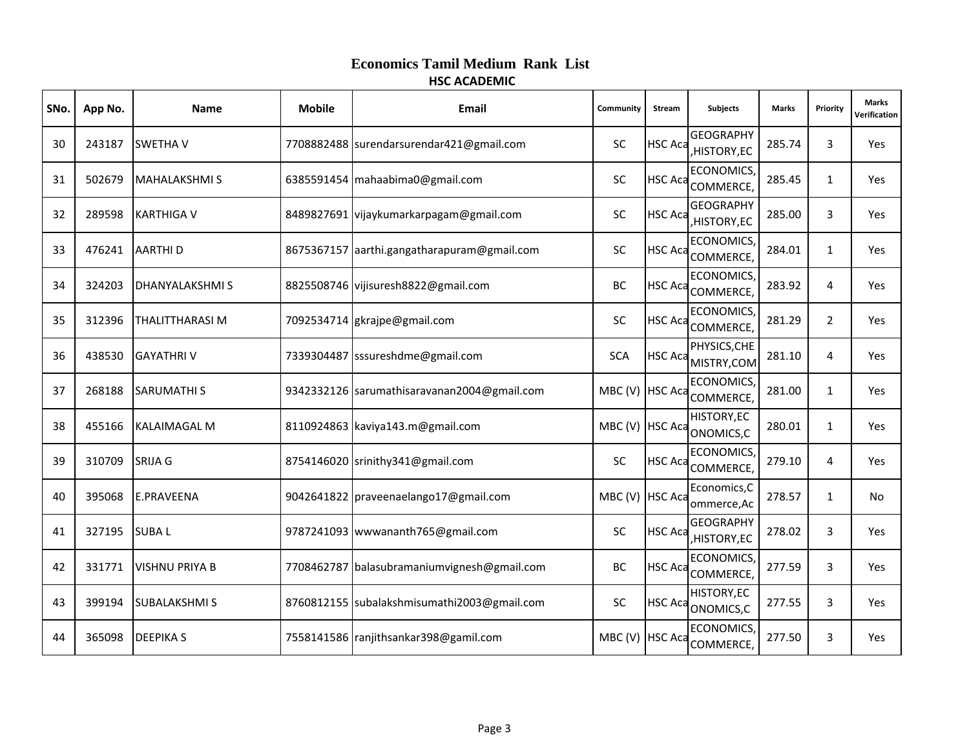| SNo. | App No. | <b>Name</b>            | <b>Mobile</b> | Email                                       | Community       | Stream         | <b>Subjects</b>                 | <b>Marks</b> | Priority     | <b>Marks</b><br>Verification |
|------|---------|------------------------|---------------|---------------------------------------------|-----------------|----------------|---------------------------------|--------------|--------------|------------------------------|
| 30   | 243187  | <b>SWETHA V</b>        |               | 7708882488 surendarsurendar421@gmail.com    | SC              | <b>HSC Aca</b> | <b>GEOGRAPHY</b><br>HISTORY, EC | 285.74       | 3            | Yes                          |
| 31   | 502679  | <b>MAHALAKSHMIS</b>    |               | 6385591454 mahaabima0@gmail.com             | SC              | <b>HSC Aca</b> | <b>ECONOMICS</b><br>COMMERCE,   | 285.45       | $\mathbf{1}$ | Yes                          |
| 32   | 289598  | <b>KARTHIGA V</b>      |               | 8489827691 vijaykumarkarpagam@gmail.com     | <b>SC</b>       | <b>HSC Aca</b> | <b>GEOGRAPHY</b><br>,HISTORY,EC | 285.00       | 3            | Yes                          |
| 33   | 476241  | <b>AARTHID</b>         |               | 8675367157 aarthi.gangatharapuram@gmail.com | SC              | <b>HSC Aca</b> | <b>ECONOMICS</b><br>COMMERCE,   | 284.01       | $\mathbf{1}$ | Yes                          |
| 34   | 324203  | <b>IDHANYALAKSHMIS</b> |               | 8825508746 vijisuresh8822@gmail.com         | <b>BC</b>       | <b>HSC Aca</b> | <b>ECONOMICS</b><br>COMMERCE,   | 283.92       | 4            | Yes                          |
| 35   | 312396  | THALITTHARASI M        |               | 7092534714 gkrajpe@gmail.com                | SC              | <b>HSC Aca</b> | <b>ECONOMICS</b><br>COMMERCE,   | 281.29       | 2            | Yes                          |
| 36   | 438530  | <b>GAYATHRIV</b>       |               | 7339304487 sssureshdme@gmail.com            | <b>SCA</b>      | <b>HSC Aca</b> | PHYSICS, CHE<br>MISTRY, COM     | 281.10       | 4            | Yes                          |
| 37   | 268188  | <b>SARUMATHIS</b>      |               | 9342332126 sarumathisaravanan2004@gmail.com | MBC (V) HSC Aca |                | ECONOMICS,<br>COMMERCE,         | 281.00       | $\mathbf{1}$ | Yes                          |
| 38   | 455166  | <b>KALAIMAGAL M</b>    |               | 8110924863 kaviya143.m@gmail.com            | MBC (V) HSC Aca |                | <b>HISTORY,EC</b><br>ONOMICS,C  | 280.01       | $\mathbf{1}$ | Yes                          |
| 39   | 310709  | <b>SRIJA G</b>         |               | 8754146020 srinithy341@gmail.com            | <b>SC</b>       | <b>HSC Aca</b> | <b>ECONOMICS</b><br>COMMERCE,   | 279.10       | 4            | Yes                          |
| 40   | 395068  | E.PRAVEENA             |               | 9042641822 praveenaelango17@gmail.com       | MBC (V) HSC Aca |                | Economics, C<br>ommerce, Ac     | 278.57       | $\mathbf{1}$ | No.                          |
| 41   | 327195  | <b>SUBAL</b>           |               | 9787241093 wwwananth765@gmail.com           | SC              | HSC Aca        | <b>GEOGRAPHY</b><br>HISTORY, EC | 278.02       | 3            | Yes                          |
| 42   | 331771  | <b>VISHNU PRIYA B</b>  |               | 7708462787 balasubramaniumvignesh@gmail.com | BC              | <b>HSC Aca</b> | <b>ECONOMICS</b><br>COMMERCE,   | 277.59       | 3            | Yes                          |
| 43   | 399194  | <b>SUBALAKSHMIS</b>    |               | 8760812155 subalakshmisumathi2003@gmail.com | SC              | <b>HSC Aca</b> | <b>HISTORY,EC</b><br>ONOMICS,C  | 277.55       | 3            | Yes                          |
| 44   | 365098  | <b>DEEPIKAS</b>        |               | 7558141586 ranjithsankar398@gamil.com       | MBC (V) HSC Aca |                | <b>ECONOMICS</b><br>COMMERCE,   | 277.50       | 3            | Yes                          |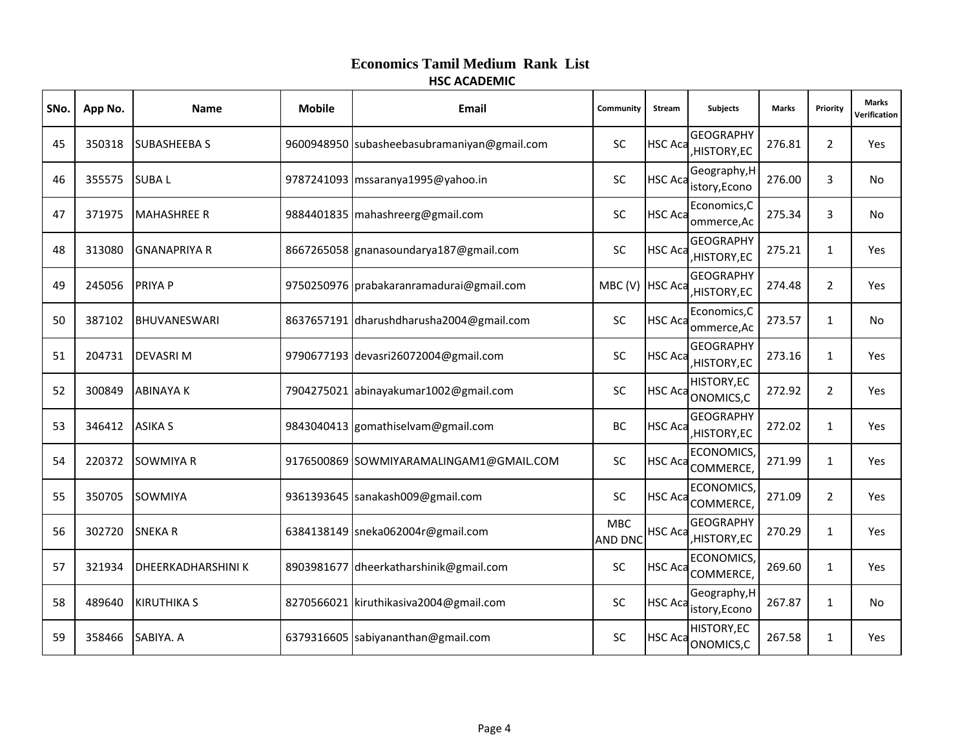| SNo. | App No. | Name                      | <b>Mobile</b> | Email                                       | Community                    | Stream         | <b>Subjects</b>                 | <b>Marks</b> | Priority       | <b>Marks</b><br>Verification |
|------|---------|---------------------------|---------------|---------------------------------------------|------------------------------|----------------|---------------------------------|--------------|----------------|------------------------------|
| 45   | 350318  | <b>SUBASHEEBAS</b>        |               | 9600948950 subasheebasubramaniyan@gmail.com | <b>SC</b>                    | <b>HSC Aca</b> | <b>GEOGRAPHY</b><br>HISTORY, EC | 276.81       | $\overline{2}$ | Yes                          |
| 46   | 355575  | <b>SUBAL</b>              |               | 9787241093 mssaranya1995@yahoo.in           | SC                           | <b>HSC Aca</b> | Geography, H<br>istory, Econo   | 276.00       | 3              | <b>No</b>                    |
| 47   | 371975  | <b>MAHASHREE R</b>        |               | 9884401835   mahashreerg@gmail.com          | SC                           | <b>HSC Aca</b> | Economics, C<br>ommerce, Ac     | 275.34       | 3              | <b>No</b>                    |
| 48   | 313080  | <b>GNANAPRIYA R</b>       |               | 8667265058 gnanasoundarya187@gmail.com      | SC                           | <b>HSC Aca</b> | <b>GEOGRAPHY</b><br>HISTORY, EC | 275.21       | $\mathbf{1}$   | Yes                          |
| 49   | 245056  | <b>PRIYA P</b>            |               | 9750250976 prabakaranramadurai@gmail.com    | MBC (V) HSC Aca              |                | <b>GEOGRAPHY</b><br>HISTORY, EC | 274.48       | 2              | Yes                          |
| 50   | 387102  | <b>BHUVANESWARI</b>       |               | 8637657191 dharushdharusha2004@gmail.com    | SC                           | <b>HSC Aca</b> | Economics, C<br>ommerce, Ac     | 273.57       | 1              | No.                          |
| 51   | 204731  | <b>DEVASRIM</b>           |               | 9790677193 devasri26072004@gmail.com        | SC                           | <b>HSC Aca</b> | <b>GEOGRAPHY</b><br>HISTORY, EC | 273.16       | $\mathbf{1}$   | Yes                          |
| 52   | 300849  | <b>ABINAYA K</b>          |               | 7904275021 abinayakumar1002@gmail.com       | SC                           | <b>HSC Aca</b> | <b>HISTORY,EC</b><br>ONOMICS,C  | 272.92       | 2              | Yes                          |
| 53   | 346412  | <b>ASIKA S</b>            |               | 9843040413 gomathiselvam@gmail.com          | BC                           | <b>HSC Aca</b> | <b>GEOGRAPHY</b><br>HISTORY, EC | 272.02       | 1              | Yes                          |
| 54   | 220372  | <b>SOWMIYA R</b>          |               | 9176500869 SOWMIYARAMALINGAM1@GMAIL.COM     | SC                           | <b>HSC Aca</b> | <b>ECONOMICS</b><br>COMMERCE,   | 271.99       | 1              | Yes                          |
| 55   | 350705  | SOWMIYA                   |               | 9361393645 sanakash009@gmail.com            | <b>SC</b>                    | <b>HSC Aca</b> | <b>ECONOMICS</b><br>COMMERCE,   | 271.09       | 2              | Yes                          |
| 56   | 302720  | <b>SNEKAR</b>             |               | 6384138149 sneka062004r@gmail.com           | <b>MBC</b><br><b>AND DNC</b> | HSC Aca        | <b>GEOGRAPHY</b><br>,HISTORY,EC | 270.29       | $\mathbf{1}$   | Yes                          |
| 57   | 321934  | <b>DHEERKADHARSHINI K</b> |               | 8903981677 dheerkatharshinik@gmail.com      | SC                           | <b>HSC</b> Aca | <b>ECONOMICS</b><br>COMMERCE,   | 269.60       | $\mathbf{1}$   | Yes                          |
| 58   | 489640  | <b>KIRUTHIKA S</b>        |               | 8270566021 kiruthikasiva2004@gmail.com      | <b>SC</b>                    | <b>HSC Aca</b> | Geography, H<br>istory, Econo   | 267.87       | 1              | No.                          |
| 59   | 358466  | SABIYA. A                 |               | 6379316605 sabiyananthan@gmail.com          | SC                           | <b>HSC Aca</b> | <b>HISTORY,EC</b><br>ONOMICS,C  | 267.58       | $\mathbf{1}$   | Yes                          |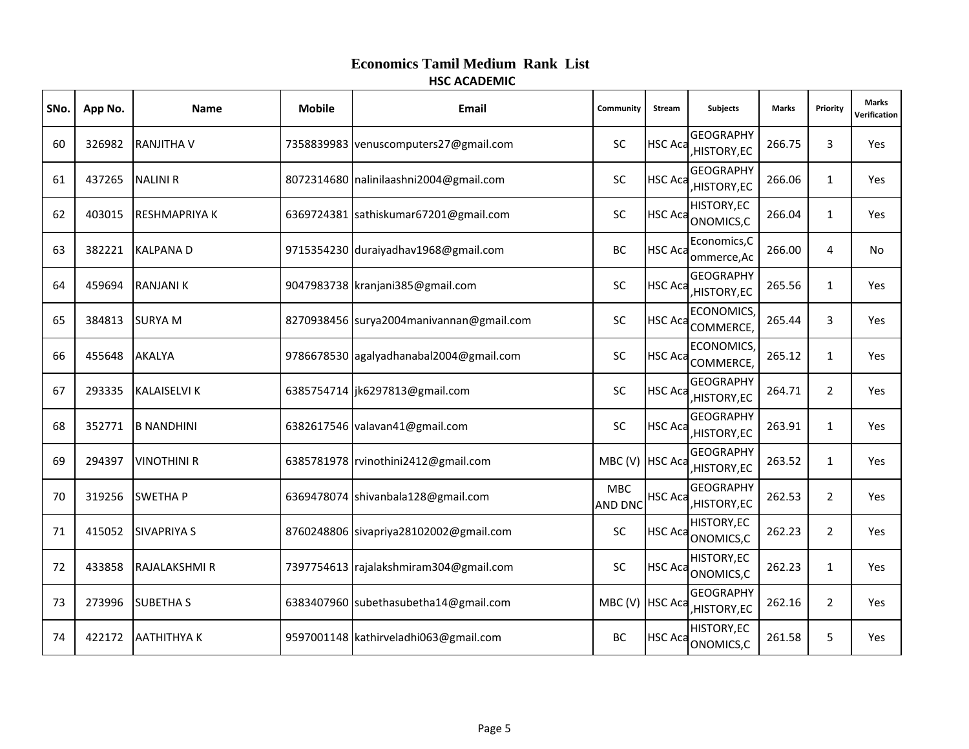| SNo. | App No. | <b>Name</b>         | <b>Mobile</b> | Email                                    | Community                    | Stream         | <b>Subjects</b>                 | <b>Marks</b> | Priority       | <b>Marks</b><br>Verification |
|------|---------|---------------------|---------------|------------------------------------------|------------------------------|----------------|---------------------------------|--------------|----------------|------------------------------|
| 60   | 326982  | <b>RANJITHA V</b>   |               | 7358839983 venuscomputers27@gmail.com    | SC                           | <b>HSC Aca</b> | <b>GEOGRAPHY</b><br>HISTORY, EC | 266.75       | 3              | Yes                          |
| 61   | 437265  | <b>NALINI R</b>     |               | 8072314680 nalinilaashni2004@gmail.com   | SC                           | <b>HSC Aca</b> | <b>GEOGRAPHY</b><br>HISTORY, EC | 266.06       | $\mathbf{1}$   | Yes                          |
| 62   | 403015  | <b>RESHMAPRIYAK</b> |               | 6369724381 sathiskumar67201@gmail.com    | <b>SC</b>                    | <b>HSC Aca</b> | <b>HISTORY,EC</b><br>ONOMICS,C  | 266.04       | $\mathbf{1}$   | Yes                          |
| 63   | 382221  | <b>KALPANAD</b>     |               | 9715354230 duraiyadhav1968@gmail.com     | BC                           | <b>HSC Aca</b> | Economics, C<br>ommerce, Ac     | 266.00       | 4              | No                           |
| 64   | 459694  | <b>RANJANI K</b>    |               | 9047983738 kranjani385@gmail.com         | <b>SC</b>                    | <b>HSC Aca</b> | <b>GEOGRAPHY</b><br>HISTORY, EC | 265.56       | 1              | Yes                          |
| 65   | 384813  | <b>SURYA M</b>      |               | 8270938456 surya2004manivannan@gmail.com | SC                           | <b>HSC Aca</b> | <b>ECONOMICS</b><br>COMMERCE,   | 265.44       | 3              | Yes                          |
| 66   | 455648  | <b>AKALYA</b>       |               | 9786678530 agalyadhanabal2004@gmail.com  | SC                           | <b>HSC Aca</b> | <b>ECONOMICS</b><br>COMMERCE,   | 265.12       | 1              | Yes                          |
| 67   | 293335  | <b>KALAISELVI K</b> |               | 6385754714   jk6297813@gmail.com         | SC                           | <b>HSC Aca</b> | <b>GEOGRAPHY</b><br>HISTORY, EC | 264.71       | $\overline{2}$ | Yes                          |
| 68   | 352771  | <b>B NANDHINI</b>   |               | 6382617546 valavan41@gmail.com           | SC                           | <b>HSC Aca</b> | <b>GEOGRAPHY</b><br>HISTORY, EC | 263.91       | $\mathbf{1}$   | Yes                          |
| 69   | 294397  | <b>VINOTHINI R</b>  |               | 6385781978   rvinothini2412@gmail.com    | MBC (V) HSC Aca              |                | <b>GEOGRAPHY</b><br>HISTORY, EC | 263.52       | 1              | Yes                          |
| 70   | 319256  | <b>SWETHAP</b>      |               | 6369478074 shivanbala128@gmail.com       | <b>MBC</b><br><b>AND DNC</b> | <b>HSC Aca</b> | <b>GEOGRAPHY</b><br>,HISTORY,EC | 262.53       | $\overline{2}$ | Yes                          |
| 71   | 415052  | <b>SIVAPRIYA S</b>  |               | 8760248806 sivapriya28102002@gmail.com   | SC                           | HSC Aca        | HISTORY, EC<br>ONOMICS,C        | 262.23       | 2              | Yes                          |
| 72   | 433858  | RAJALAKSHMI R       |               | 7397754613 rajalakshmiram304@gmail.com   | SC                           | <b>HSC Aca</b> | <b>HISTORY,EC</b><br>ONOMICS, C | 262.23       | $\mathbf{1}$   | Yes                          |
| 73   | 273996  | <b>SUBETHA S</b>    |               | 6383407960 subethasubetha14@gmail.com    | MBC (V) HSC Aca              |                | <b>GEOGRAPHY</b><br>,HISTORY,EC | 262.16       | 2              | Yes                          |
| 74   | 422172  | <b>AATHITHYA K</b>  |               | 9597001148   kathirveladhi063@gmail.com  | <b>BC</b>                    | HSC Aca        | <b>HISTORY,EC</b><br>ONOMICS,C  | 261.58       | 5              | Yes                          |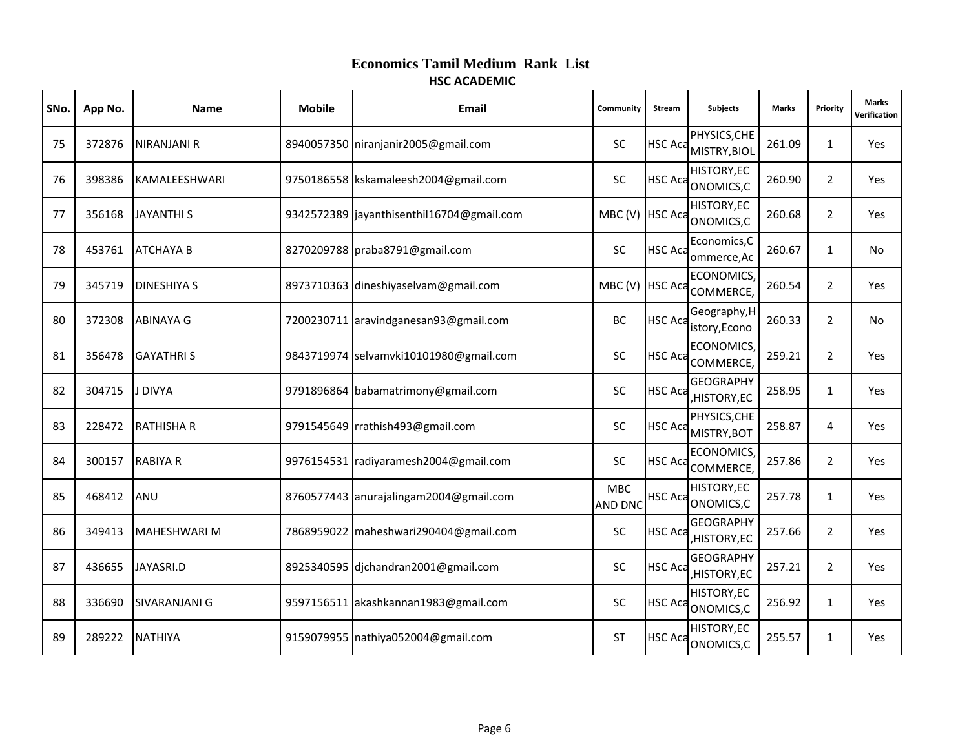| SNo. | App No. | <b>Name</b>          | <b>Mobile</b> | Email                                     | Community                    | Stream         | <b>Subjects</b>                 | <b>Marks</b> | Priority       | <b>Marks</b><br>Verification |
|------|---------|----------------------|---------------|-------------------------------------------|------------------------------|----------------|---------------------------------|--------------|----------------|------------------------------|
| 75   | 372876  | NIRANJANI R          |               | 8940057350 niranjanir2005@gmail.com       | SC                           | <b>HSC Aca</b> | PHYSICS, CHE<br>MISTRY, BIOL    | 261.09       | $\mathbf{1}$   | Yes                          |
| 76   | 398386  | KAMALEESHWARI        |               | 9750186558 kskamaleesh2004@gmail.com      | SC                           | <b>HSC Aca</b> | <b>HISTORY,EC</b><br>ONOMICS, C | 260.90       | $\overline{2}$ | Yes                          |
| 77   | 356168  | <b>JAYANTHI S</b>    |               | 9342572389 jayanthisenthil16704@gmail.com | MBC (V) HSC Aca              |                | <b>HISTORY,EC</b><br>ONOMICS, C | 260.68       | 2              | Yes                          |
| 78   | 453761  | <b>ATCHAYA B</b>     |               | 8270209788 praba8791@gmail.com            | SC                           | <b>HSC Aca</b> | Economics, C<br>ommerce, Ac     | 260.67       | $\mathbf{1}$   | No                           |
| 79   | 345719  | <b>DINESHIYA S</b>   |               | 8973710363 dineshiyaselvam@gmail.com      | MBC (V) HSC Aca              |                | <b>ECONOMICS</b><br>COMMERCE,   | 260.54       | 2              | Yes                          |
| 80   | 372308  | <b>ABINAYA G</b>     |               | 7200230711 aravindganesan93@gmail.com     | BC                           | <b>HSC Aca</b> | Geography, H<br>istory, Econo   | 260.33       | 2              | No.                          |
| 81   | 356478  | <b>GAYATHRIS</b>     |               | 9843719974 selvamvki10101980@gmail.com    | SC                           | <b>HSC Aca</b> | <b>ECONOMICS</b><br>COMMERCE,   | 259.21       | $\overline{2}$ | Yes                          |
| 82   | 304715  | J DIVYA              |               | 9791896864 babamatrimony@gmail.com        | SC                           | <b>HSC Aca</b> | <b>GEOGRAPHY</b><br>HISTORY, EC | 258.95       | 1              | Yes                          |
| 83   | 228472  | <b>RATHISHAR</b>     |               | 9791545649 rrathish493@gmail.com          | SC                           | <b>HSC Aca</b> | PHYSICS, CHE<br>MISTRY, BOT     | 258.87       | 4              | Yes                          |
| 84   | 300157  | RABIYA R             |               | 9976154531 radiyaramesh2004@gmail.com     | <b>SC</b>                    | <b>HSC Aca</b> | <b>ECONOMICS</b><br>COMMERCE,   | 257.86       | $\overline{2}$ | Yes                          |
| 85   | 468412  | ANU                  |               | 8760577443 anurajalingam2004@gmail.com    | <b>MBC</b><br><b>AND DNC</b> | HSC Aca        | HISTORY, EC<br>ONOMICS,C        | 257.78       | $\mathbf{1}$   | Yes                          |
| 86   | 349413  | <b>MAHESHWARI M</b>  |               | 7868959022 maheshwari290404@gmail.com     | SC                           | <b>HSC Aca</b> | <b>GEOGRAPHY</b><br>HISTORY, EC | 257.66       | 2              | Yes                          |
| 87   | 436655  | JAYASRI.D            |               | 8925340595 djchandran2001@gmail.com       | SC                           | <b>HSC Aca</b> | <b>GEOGRAPHY</b><br>HISTORY, EC | 257.21       | $\overline{2}$ | Yes                          |
| 88   | 336690  | <b>SIVARANJANI G</b> |               | 9597156511 akashkannan1983@gmail.com      | SC                           | <b>HSC Aca</b> | <b>HISTORY,EC</b><br>ONOMICS,C  | 256.92       | $\mathbf{1}$   | Yes                          |
| 89   | 289222  | <b>NATHIYA</b>       |               | 9159079955 nathiya052004@gmail.com        | <b>ST</b>                    | HSC Aca        | <b>HISTORY,EC</b><br>ONOMICS,C  | 255.57       | 1              | Yes                          |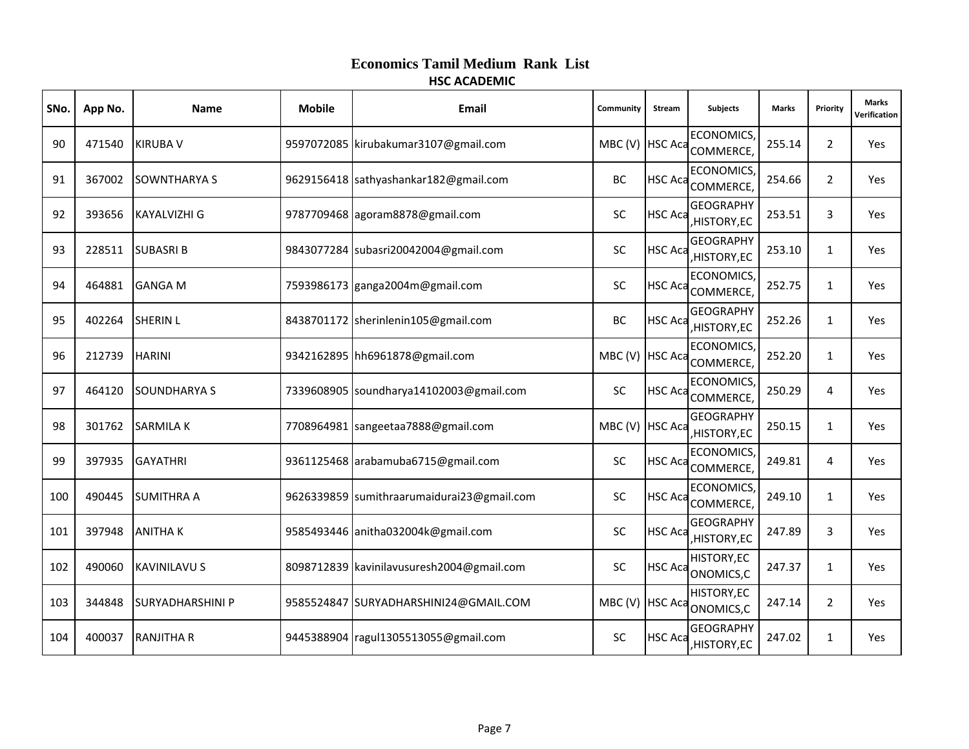| SNo. | App No. | <b>Name</b>             | <b>Mobile</b> | Email                                      | Community       | Stream         | <b>Subjects</b>                 | <b>Marks</b> | Priority       | <b>Marks</b><br>Verification |
|------|---------|-------------------------|---------------|--------------------------------------------|-----------------|----------------|---------------------------------|--------------|----------------|------------------------------|
| 90   | 471540  | <b>KIRUBA V</b>         |               | 9597072085 kirubakumar3107@gmail.com       | MBC (V) HSC Aca |                | <b>ECONOMICS</b><br>COMMERCE,   | 255.14       | $\overline{2}$ | Yes                          |
| 91   | 367002  | <b>ISOWNTHARYA S</b>    |               | 9629156418 sathyashankar182@gmail.com      | BC              | <b>HSC Aca</b> | <b>ECONOMICS</b><br>COMMERCE,   | 254.66       | $\overline{2}$ | Yes                          |
| 92   | 393656  | <b>KAYALVIZHI G</b>     |               | 9787709468 agoram8878@gmail.com            | SC              | <b>HSC Aca</b> | <b>GEOGRAPHY</b><br>,HISTORY,EC | 253.51       | 3              | Yes                          |
| 93   | 228511  | <b>SUBASRIB</b>         |               | 9843077284 subasri20042004@gmail.com       | SC              | <b>HSC Aca</b> | <b>GEOGRAPHY</b><br>,HISTORY,EC | 253.10       | $\mathbf{1}$   | Yes                          |
| 94   | 464881  | <b>GANGA M</b>          |               | 7593986173 ganga2004m@gmail.com            | SC              | <b>HSC Aca</b> | <b>ECONOMICS</b><br>COMMERCE,   | 252.75       | 1              | Yes                          |
| 95   | 402264  | <b>SHERIN L</b>         |               | 8438701172 sherinlenin105@gmail.com        | <b>BC</b>       | <b>HSC Aca</b> | <b>GEOGRAPHY</b><br>HISTORY, EC | 252.26       | 1              | Yes                          |
| 96   | 212739  | <b>HARINI</b>           |               | 9342162895 hh6961878@gmail.com             | MBC (V) HSC Aca |                | <b>ECONOMICS</b><br>COMMERCE,   | 252.20       | $\mathbf{1}$   | Yes                          |
| 97   | 464120  | <b>SOUNDHARYA S</b>     |               | 7339608905 soundharya14102003@gmail.com    | SC              | <b>HSC Aca</b> | <b>ECONOMICS</b><br>COMMERCE,   | 250.29       | 4              | Yes                          |
| 98   | 301762  | <b>SARMILA K</b>        |               | 7708964981 sangeetaa7888@gmail.com         | MBC (V) HSC Aca |                | <b>GEOGRAPHY</b><br>HISTORY, EC | 250.15       | $\mathbf{1}$   | Yes                          |
| 99   | 397935  | <b>GAYATHRI</b>         |               | 9361125468 arabamuba6715@gmail.com         | SC              | <b>HSC Aca</b> | <b>ECONOMICS</b><br>COMMERCE,   | 249.81       | 4              | Yes                          |
| 100  | 490445  | <b>SUMITHRA A</b>       |               | 9626339859 sumithraarumaidurai23@gmail.com | SC              | <b>HSC Aca</b> | <b>ECONOMICS</b><br>COMMERCE,   | 249.10       | $\mathbf{1}$   | Yes                          |
| 101  | 397948  | <b>ANITHAK</b>          |               | 9585493446 anitha032004k@gmail.com         | SC              | <b>HSC Aca</b> | <b>GEOGRAPHY</b><br>HISTORY, EC | 247.89       | 3              | Yes                          |
| 102  | 490060  | <b>KAVINILAVU S</b>     |               | 8098712839 kavinilavusuresh2004@gmail.com  | SC              | <b>HSC Aca</b> | <b>HISTORY,EC</b><br>ONOMICS, C | 247.37       | $\mathbf{1}$   | Yes                          |
| 103  | 344848  | <b>SURYADHARSHINI P</b> |               | 9585524847 SURYADHARSHINI24@GMAIL.COM      | MBC (V) HSC Aca |                | <b>HISTORY,EC</b><br>ONOMICS,C  | 247.14       | $\overline{2}$ | Yes                          |
| 104  | 400037  | <b>RANJITHA R</b>       |               | 9445388904 ragul1305513055@gmail.com       | <b>SC</b>       | <b>HSC Aca</b> | <b>GEOGRAPHY</b><br>HISTORY, EC | 247.02       | 1              | Yes                          |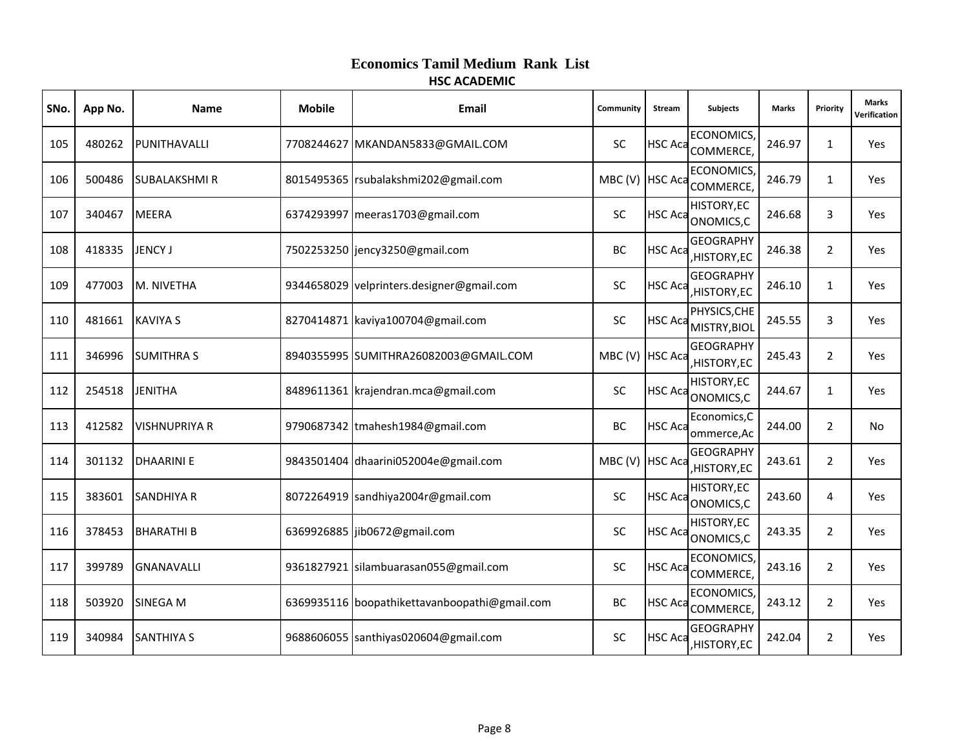| SNo. | App No. | <b>Name</b>          | <b>Mobile</b> | Email                                         | Community       | Stream         | <b>Subjects</b>                 | <b>Marks</b> | Priority       | <b>Marks</b><br>Verification |
|------|---------|----------------------|---------------|-----------------------------------------------|-----------------|----------------|---------------------------------|--------------|----------------|------------------------------|
| 105  | 480262  | <b>IPUNITHAVALLI</b> |               | 7708244627 MKANDAN5833@GMAIL.COM              | SC              | <b>HSC Aca</b> | ECONOMICS,<br>COMMERCE,         | 246.97       | $\mathbf{1}$   | Yes                          |
| 106  | 500486  | <b>SUBALAKSHMIR</b>  |               | 8015495365 rsubalakshmi202@gmail.com          | MBC (V) HSC Aca |                | <b>ECONOMICS</b><br>COMMERCE,   | 246.79       | $\mathbf{1}$   | Yes                          |
| 107  | 340467  | <b>MEERA</b>         |               | 6374293997 meeras1703@gmail.com               | <b>SC</b>       | <b>HSC Aca</b> | <b>HISTORY,EC</b><br>ONOMICS,C  | 246.68       | 3              | Yes                          |
| 108  | 418335  | JENCY J              |               | 7502253250 jency3250@gmail.com                | BC              | <b>HSC Aca</b> | <b>GEOGRAPHY</b><br>,HISTORY,EC | 246.38       | $\overline{2}$ | Yes                          |
| 109  | 477003  | M. NIVETHA           |               | 9344658029 velprinters.designer@gmail.com     | SC              | <b>HSC Aca</b> | <b>GEOGRAPHY</b><br>HISTORY, EC | 246.10       | 1              | Yes                          |
| 110  | 481661  | <b>KAVIYA S</b>      |               | 8270414871 kaviya100704@gmail.com             | SC              | <b>HSC Aca</b> | PHYSICS, CHE<br>MISTRY, BIOL    | 245.55       | 3              | Yes                          |
| 111  | 346996  | <b>SUMITHRA S</b>    |               | 8940355995 SUMITHRA26082003@GMAIL.COM         | MBC (V) HSC Aca |                | <b>GEOGRAPHY</b><br>HISTORY, EC | 245.43       | $\overline{2}$ | Yes                          |
| 112  | 254518  | JENITHA              |               | 8489611361 krajendran.mca@gmail.com           | SC              | <b>HSC Aca</b> | HISTORY, EC<br>ONOMICS, C       | 244.67       | 1              | Yes                          |
| 113  | 412582  | <b>VISHNUPRIYA R</b> |               | 9790687342 tmahesh1984@gmail.com              | <b>BC</b>       | <b>HSC Aca</b> | Economics, C<br>ommerce, Ac     | 244.00       | 2              | No.                          |
| 114  | 301132  | <b>DHAARINIE</b>     |               | 9843501404 dhaarini052004e@gmail.com          | MBC (V) HSC Aca |                | <b>GEOGRAPHY</b><br>HISTORY, EC | 243.61       | $\overline{2}$ | Yes                          |
| 115  | 383601  | <b>SANDHIYA R</b>    |               | 8072264919 sandhiya2004r@gmail.com            | SC              | <b>HSC Aca</b> | HISTORY, EC<br>ONOMICS,C        | 243.60       | 4              | Yes                          |
| 116  | 378453  | <b>BHARATHI B</b>    |               | 6369926885 jib0672@gmail.com                  | SC              | <b>HSC Aca</b> | HISTORY, EC<br>ONOMICS, C       | 243.35       | 2              | Yes                          |
| 117  | 399789  | GNANAVALLI           |               | 9361827921 silambuarasan055@gmail.com         | SC              | <b>HSC Aca</b> | <b>ECONOMICS</b><br>COMMERCE,   | 243.16       | $\overline{2}$ | Yes                          |
| 118  | 503920  | SINEGA M             |               | 6369935116 boopathikettavanboopathi@gmail.com | BC              | <b>HSC Aca</b> | ECONOMICS,<br>COMMERCE,         | 243.12       | $\overline{2}$ | Yes                          |
| 119  | 340984  | <b>SANTHIYA S</b>    |               | 9688606055 santhiyas020604@gmail.com          | SC              | <b>HSC Aca</b> | <b>GEOGRAPHY</b><br>HISTORY, EC | 242.04       | $\overline{2}$ | Yes                          |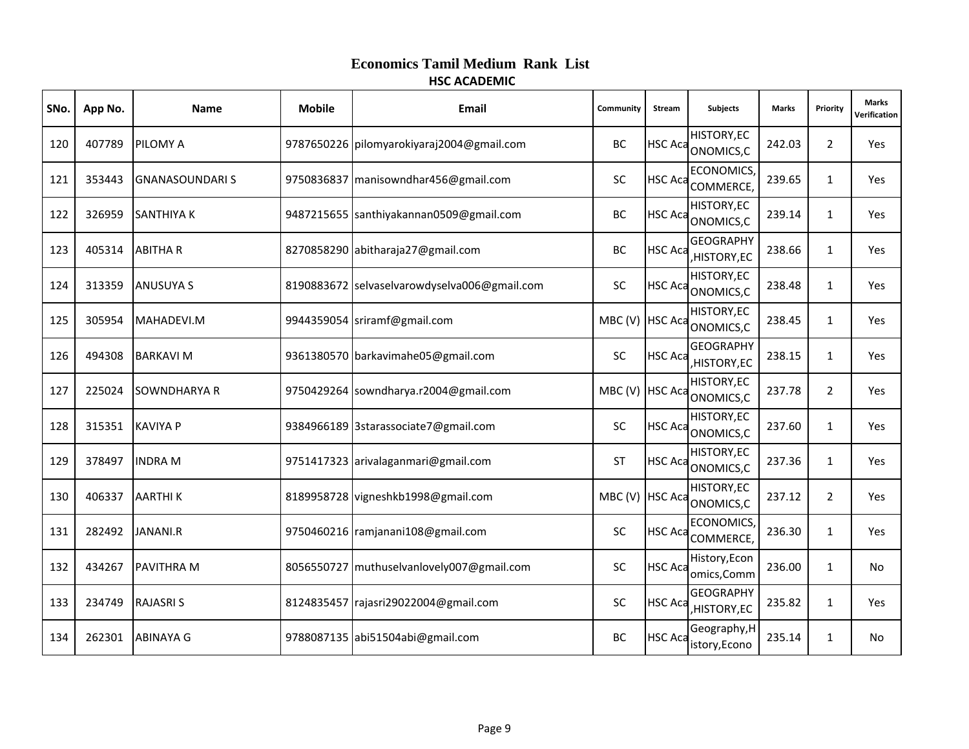| SNo. | App No. | <b>Name</b>           | <b>Mobile</b> | Email                                        | Community       | Stream         | <b>Subjects</b>                 | <b>Marks</b> | Priority       | <b>Marks</b><br>Verification |
|------|---------|-----------------------|---------------|----------------------------------------------|-----------------|----------------|---------------------------------|--------------|----------------|------------------------------|
| 120  | 407789  | <b>PILOMY A</b>       |               | 9787650226 pilomyarokiyaraj2004@gmail.com    | BC              | <b>HSC Aca</b> | HISTORY, EC<br>ONOMICS,C        | 242.03       | $\overline{2}$ | Yes                          |
| 121  | 353443  | <b>GNANASOUNDARIS</b> |               | 9750836837 manisowndhar456@gmail.com         | SC              | <b>HSC Aca</b> | <b>ECONOMICS</b><br>COMMERCE,   | 239.65       | $\mathbf{1}$   | Yes                          |
| 122  | 326959  | <b>SANTHIYA K</b>     |               | 9487215655 santhiyakannan0509@gmail.com      | <b>BC</b>       | <b>HSC Aca</b> | <b>HISTORY,EC</b><br>ONOMICS,C  | 239.14       | $\mathbf{1}$   | Yes                          |
| 123  | 405314  | <b>ABITHAR</b>        |               | 8270858290 abitharaja27@gmail.com            | BC              | <b>HSC Aca</b> | <b>GEOGRAPHY</b><br>,HISTORY,EC | 238.66       | $\mathbf{1}$   | Yes                          |
| 124  | 313359  | <b>ANUSUYA S</b>      |               | 8190883672 selvaselvarowdyselva006@gmail.com | <b>SC</b>       | <b>HSC Aca</b> | HISTORY, EC<br>ONOMICS,C        | 238.48       | 1              | Yes                          |
| 125  | 305954  | MAHADEVI.M            |               | 9944359054 sriramf@gmail.com                 | MBC (V) HSC Aca |                | <b>HISTORY,EC</b><br>ONOMICS, C | 238.45       | $\mathbf{1}$   | Yes                          |
| 126  | 494308  | <b>BARKAVI M</b>      |               | 9361380570 barkavimahe05@gmail.com           | SC              | <b>HSC Aca</b> | <b>GEOGRAPHY</b><br>HISTORY, EC | 238.15       | 1              | Yes                          |
| 127  | 225024  | <b>ISOWNDHARYA R</b>  |               | 9750429264 sowndharya.r2004@gmail.com        | MBC (V) HSC Aca |                | <b>HISTORY,EC</b><br>ONOMICS,C  | 237.78       | $\overline{2}$ | Yes                          |
| 128  | 315351  | <b>KAVIYA P</b>       |               | 9384966189 3starassociate7@gmail.com         | SC              | <b>HSC Aca</b> | <b>HISTORY,EC</b><br>ONOMICS,C  | 237.60       | $\mathbf{1}$   | Yes                          |
| 129  | 378497  | <b>INDRA M</b>        |               | 9751417323 arivalaganmari@gmail.com          | <b>ST</b>       | <b>HSC Aca</b> | <b>HISTORY,EC</b><br>ONOMICS, C | 237.36       | $\mathbf{1}$   | Yes                          |
| 130  | 406337  | <b>AARTHIK</b>        |               | 8189958728 vigneshkb1998@gmail.com           | MBC (V) HSC Aca |                | HISTORY, EC<br>ONOMICS,C        | 237.12       | $\overline{2}$ | Yes                          |
| 131  | 282492  | <b>JANANI.R</b>       |               | 9750460216  ramjanani108@gmail.com           | SC              | <b>HSC Aca</b> | <b>ECONOMICS</b><br>COMMERCE,   | 236.30       | 1              | Yes                          |
| 132  | 434267  | <b>PAVITHRA M</b>     |               | 8056550727 muthuselvanlovely007@gmail.com    | SC              | <b>HSC Aca</b> | History, Econ<br>omics, Comm    | 236.00       | $\mathbf{1}$   | <b>No</b>                    |
| 133  | 234749  | <b>RAJASRIS</b>       |               | 8124835457 rajasri29022004@gmail.com         | SC              | <b>HSC Aca</b> | <b>GEOGRAPHY</b><br>HISTORY, EC | 235.82       | $\mathbf{1}$   | Yes                          |
| 134  | 262301  | <b>ABINAYA G</b>      |               | 9788087135 abi51504abi@gmail.com             | <b>BC</b>       | <b>HSC Aca</b> | Geography, H<br>istory, Econo   | 235.14       | 1              | No.                          |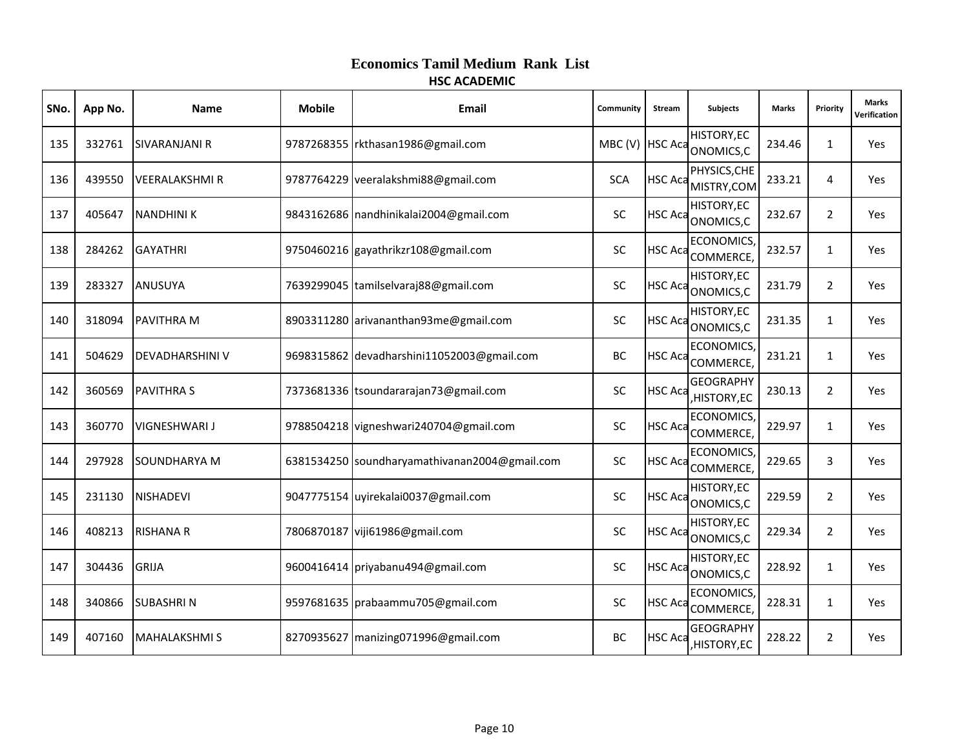| SNo. | App No. | <b>Name</b>            | <b>Mobile</b> | Email                                         | Community       | Stream         | <b>Subjects</b>                 | <b>Marks</b> | Priority       | <b>Marks</b><br>Verification |
|------|---------|------------------------|---------------|-----------------------------------------------|-----------------|----------------|---------------------------------|--------------|----------------|------------------------------|
| 135  | 332761  | <b>ISIVARANJANI R</b>  |               | 9787268355 rkthasan1986@gmail.com             | MBC (V) HSC Aca |                | <b>HISTORY,EC</b><br>ONOMICS,C  | 234.46       | $\mathbf{1}$   | Yes                          |
| 136  | 439550  | <b>IVEERALAKSHMIR</b>  |               | 9787764229 veeralakshmi88@gmail.com           | <b>SCA</b>      | <b>HSC</b> Aca | PHYSICS, CHE<br>MISTRY, COM     | 233.21       | 4              | Yes                          |
| 137  | 405647  | <b>INANDHINI K</b>     |               | 9843162686 nandhinikalai2004@gmail.com        | SC              | <b>HSC Aca</b> | <b>HISTORY,EC</b><br>ONOMICS,C  | 232.67       | 2              | Yes                          |
| 138  | 284262  | <b>GAYATHRI</b>        |               | 9750460216 gayathrikzr108@gmail.com           | SC              | <b>HSC Aca</b> | <b>ECONOMICS</b><br>COMMERCE,   | 232.57       | $\mathbf{1}$   | Yes                          |
| 139  | 283327  | ANUSUYA                |               | 7639299045 tamilselvaraj88@gmail.com          | SC              | <b>HSC Aca</b> | <b>HISTORY,EC</b><br>ONOMICS,C  | 231.79       | $\overline{2}$ | Yes                          |
| 140  | 318094  | <b>PAVITHRA M</b>      |               | 8903311280 arivananthan93me@gmail.com         | SC              | <b>HSC Aca</b> | <b>HISTORY,EC</b><br>ONOMICS, C | 231.35       | 1              | Yes                          |
| 141  | 504629  | <b>DEVADHARSHINI V</b> |               | 9698315862 devadharshini11052003@gmail.com    | <b>BC</b>       | <b>HSC Aca</b> | <b>ECONOMICS</b><br>COMMERCE,   | 231.21       | $\mathbf{1}$   | Yes                          |
| 142  | 360569  | <b>PAVITHRA S</b>      |               | 7373681336 tsoundararajan73@gmail.com         | SC              | <b>HSC Aca</b> | <b>GEOGRAPHY</b><br>HISTORY, EC | 230.13       | $\overline{2}$ | Yes                          |
| 143  | 360770  | <b>VIGNESHWARI J</b>   |               | 9788504218 vigneshwari240704@gmail.com        | SC              | <b>HSC Aca</b> | <b>ECONOMICS</b><br>COMMERCE,   | 229.97       | $\mathbf{1}$   | Yes                          |
| 144  | 297928  | <b>ISOUNDHARYA M</b>   |               | 6381534250 soundharyamathivanan2004@gmail.com | SC              | <b>HSC Aca</b> | <b>ECONOMICS</b><br>COMMERCE,   | 229.65       | 3              | Yes                          |
| 145  | 231130  | <b>NISHADEVI</b>       |               | 9047775154 uyirekalai0037@gmail.com           | SC              | <b>HSC Aca</b> | <b>HISTORY,EC</b><br>ONOMICS, C | 229.59       | $\overline{2}$ | Yes                          |
| 146  | 408213  | <b>RISHANA R</b>       |               | 7806870187 viji61986@gmail.com                | SC              | <b>HSC Aca</b> | <b>HISTORY,EC</b><br>ONOMICS, C | 229.34       | 2              | Yes                          |
| 147  | 304436  | <b>GRIJA</b>           |               | 9600416414 priyabanu494@gmail.com             | SC              | <b>HSC Aca</b> | <b>HISTORY,EC</b><br>ONOMICS, C | 228.92       | $\mathbf{1}$   | Yes                          |
| 148  | 340866  | <b>SUBASHRIN</b>       |               | 9597681635 prabaammu705@gmail.com             | SC              | <b>HSC Aca</b> | <b>ECONOMICS</b><br>COMMERCE,   | 228.31       | 1              | Yes                          |
| 149  | 407160  | <b>MAHALAKSHMIS</b>    |               | 8270935627 manizing071996@gmail.com           | <b>BC</b>       | <b>HSC Aca</b> | <b>GEOGRAPHY</b><br>HISTORY, EC | 228.22       | $\overline{2}$ | Yes                          |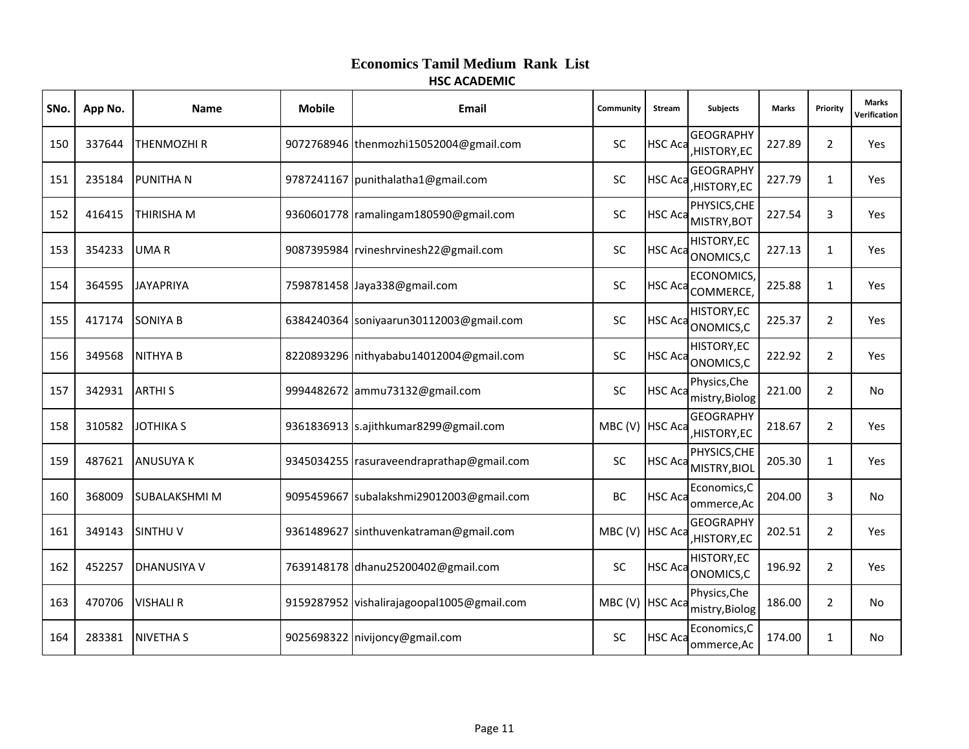| SNo. | App No. | <b>Name</b>          | <b>Mobile</b> | Email                                      | Community       | Stream         | <b>Subjects</b>                 | <b>Marks</b> | Priority       | <b>Marks</b><br>Verification |
|------|---------|----------------------|---------------|--------------------------------------------|-----------------|----------------|---------------------------------|--------------|----------------|------------------------------|
| 150  | 337644  | <b>THENMOZHIR</b>    |               | 9072768946 thenmozhi15052004@gmail.com     | SC              | <b>HSC Aca</b> | <b>GEOGRAPHY</b><br>HISTORY, EC | 227.89       | $\overline{2}$ | Yes                          |
| 151  | 235184  | <b>PUNITHAN</b>      |               | 9787241167 punithalatha1@gmail.com         | SC              | <b>HSC Aca</b> | <b>GEOGRAPHY</b><br>HISTORY, EC | 227.79       | $\mathbf{1}$   | Yes                          |
| 152  | 416415  | <b>THIRISHA M</b>    |               | 9360601778   ramalingam180590@gmail.com    | SC              | <b>HSC Aca</b> | PHYSICS, CHE<br>MISTRY, BOT     | 227.54       | 3              | Yes                          |
| 153  | 354233  | <b>UMAR</b>          |               | 9087395984 rvineshrvinesh22@gmail.com      | SC              | <b>HSC Aca</b> | <b>HISTORY,EC</b><br>ONOMICS,C  | 227.13       | $\mathbf{1}$   | Yes                          |
| 154  | 364595  | <b>JAYAPRIYA</b>     |               | 7598781458 Jaya338@gmail.com               | SC              | <b>HSC Aca</b> | <b>ECONOMICS</b><br>COMMERCE,   | 225.88       | 1              | Yes                          |
| 155  | 417174  | <b>SONIYA B</b>      |               | 6384240364 soniyaarun30112003@gmail.com    | SC              | <b>HSC Aca</b> | <b>HISTORY,EC</b><br>ONOMICS, C | 225.37       | $\overline{2}$ | Yes                          |
| 156  | 349568  | <b>NITHYA B</b>      |               | 8220893296 nithyababu14012004@gmail.com    | SC              | <b>HSC Aca</b> | <b>HISTORY,EC</b><br>ONOMICS,C  | 222.92       | $\overline{2}$ | Yes                          |
| 157  | 342931  | <b>ARTHIS</b>        |               | 9994482672 ammu73132@gmail.com             | SC              | <b>HSC Aca</b> | Physics, Che<br>mistry, Biolog  | 221.00       | $\overline{2}$ | No                           |
| 158  | 310582  | <b>JOTHIKA S</b>     |               | 9361836913 s.ajithkumar8299@gmail.com      | MBC (V) HSC Aca |                | <b>GEOGRAPHY</b><br>HISTORY, EC | 218.67       | $\overline{2}$ | Yes                          |
| 159  | 487621  | <b>ANUSUYA K</b>     |               | 9345034255 rasuraveendraprathap@gmail.com  | <b>SC</b>       | <b>HSC Aca</b> | PHYSICS, CHE<br>MISTRY, BIOL    | 205.30       | $\mathbf{1}$   | Yes                          |
| 160  | 368009  | <b>SUBALAKSHMI M</b> |               | 9095459667 subalakshmi29012003@gmail.com   | <b>BC</b>       | <b>HSC Aca</b> | Economics, C<br>ommerce, Ac     | 204.00       | 3              | No                           |
| 161  | 349143  | <b>SINTHU V</b>      |               | 9361489627 sinthuvenkatraman@gmail.com     | MBC (V) HSC Aca |                | <b>GEOGRAPHY</b><br>HISTORY, EC | 202.51       | $\overline{2}$ | Yes                          |
| 162  | 452257  | <b>DHANUSIYA V</b>   |               | 7639148178 dhanu25200402@gmail.com         | SC              | <b>HSC Aca</b> | <b>HISTORY,EC</b><br>ONOMICS,C  | 196.92       | $\overline{2}$ | Yes                          |
| 163  | 470706  | <b>VISHALI R</b>     |               | 9159287952 vishalirajagoopal1005@gmail.com | MBC (V) HSC Aca |                | Physics, Che<br>mistry, Biolog  | 186.00       | $\overline{2}$ | No                           |
| 164  | 283381  | <b>NIVETHA S</b>     |               | 9025698322 nivijoncy@gmail.com             | <b>SC</b>       | <b>HSC Aca</b> | Economics, C<br>ommerce, Ac     | 174.00       | 1              | No                           |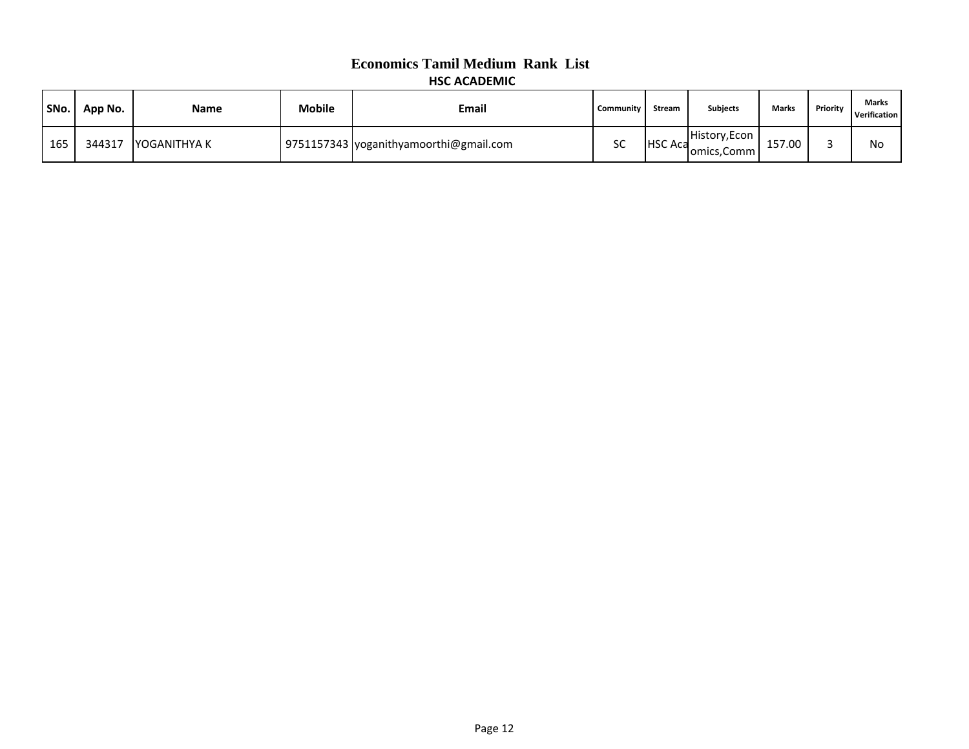| ' SNo. | App No. | Name          | <b>Mobile</b> | Email                                  | Community | Stream         | <b>Subjects</b>                | <b>Marks</b> | Priority | <b>Marks</b><br><b>Verification</b> |
|--------|---------|---------------|---------------|----------------------------------------|-----------|----------------|--------------------------------|--------------|----------|-------------------------------------|
| 165    | 344317  | IYOGANITHYA K |               | 9751157343 yoganithyamoorthi@gmail.com | SC        | <b>HSC Aca</b> | History, Econ  <br>omics, Comm | 157.00       |          | No                                  |